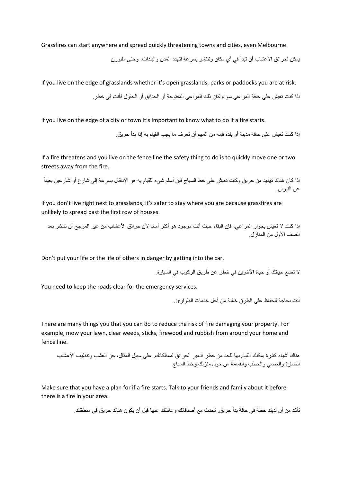Grassfires can start anywhere and spread quickly threatening towns and cities, even Melbourne

يمكن لحرائق الأعشاب أن تبدأ في أي مكان وتنتشر بسرعة لتهدد المدن والبلدات، وحتى ملبورن

If you live on the edge of grasslands whether it's open grasslands, parks or paddocks you are at risk.

إذا كنت تعيش على حافة المراعي سواء كان ذلك المراعي المفتوحة أو الحدائق أو الحقول فأنت في خطر.

If you live on the edge of a city or town it's important to know what to do if a fire starts.

إذا كنت تعيش على حافة مدينة أو بلدة فإنه من المهم أن تعرف ما يجب القيام به إذا بدأ حريق.

If a fire threatens and you live on the fence line the safety thing to do is to quickly move one or two streets away from the fire.

إذا كان هناك تهديد من حريق وكنت تعيش على خط السياج فإن أسلم شيء للقيام به هو الإنتقال بسرعة إلى شارع أو شارعين بعيداً عن النيران.

If you don't live right next to grasslands, it's safer to stay where you are because grassfires are unlikely to spread past the first row of houses.

إذا كنت لا تعيش بجوار المراعي، فإن البقاء حيث أنت موجود هو أكثر أمانا لأن حرائق الأعشاب من غير المرجح أن تنتشر بعد الصف األول من المنازل.

Don't put your life or the life of others in danger by getting into the car.

ال تضع حياتك أو حياة اآلخرين في خطر عن طريق الركوب في السيارة.

You need to keep the roads clear for the emergency services.

أنت بحاجة للحفاظ على الطرق خالية من أجل خدمات الطوارئ.

There are many things you that you can do to reduce the risk of fire damaging your property. For example, mow your lawn, clear weeds, sticks, firewood and rubbish from around your home and fence line.

هناك أشياء كثيرة يمكنك القيام بها للحد من خطر تدمير الحرائق لممتلكاتك. على سبيل المثال، جز العشب وتنظيف األعشاب الضارة والعصي والحطب والقمامة من حول منزلك وخط السياج.

Make sure that you have a plan for if a fire starts. Talk to your friends and family about it before there is a fire in your area.

تأكد من أن لديك خطة في حالة بدأ حريق. تحدث مع أصدقائك وعائلتك عنها قبل أن يكون هناك حريق في منطقتك.